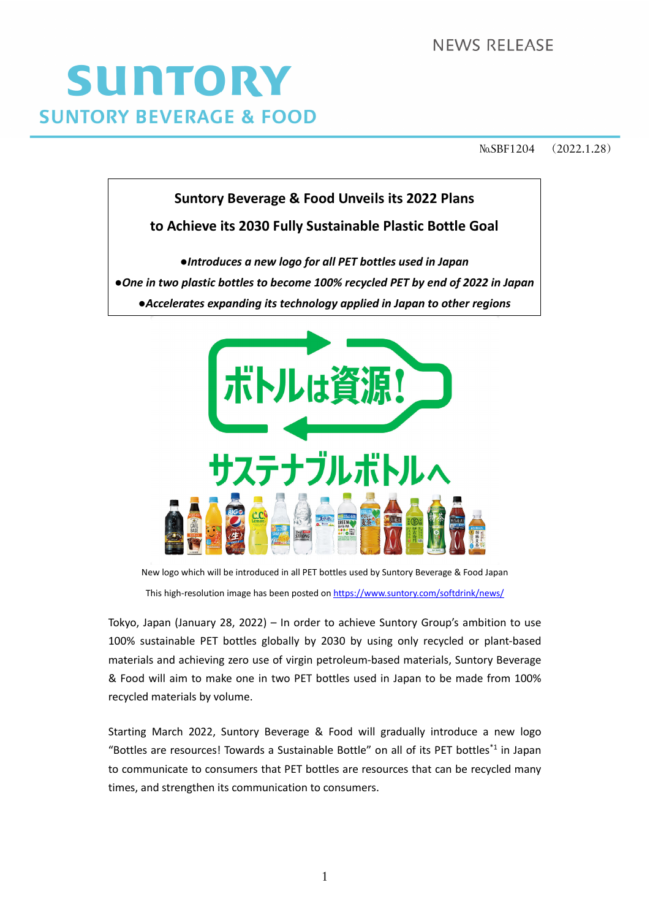**NEWS RELEASE** 

# SUNTORY **SUNTORY BEVERAGE & FOOD**

№SBF1204 (2022.1.28)





New logo which will be introduced in all PET bottles used by Suntory Beverage & Food Japan This high-resolution image has been posted on <https://www.suntory.com/softdrink/news/>

Tokyo, Japan (January 28, 2022) – In order to achieve Suntory Group's ambition to use 100% sustainable PET bottles globally by 2030 by using only recycled or plant‐based materials and achieving zero use of virgin petroleum‐based materials, Suntory Beverage & Food will aim to make one in two PET bottles used in Japan to be made from 100% recycled materials by volume.

Starting March 2022, Suntory Beverage & Food will gradually introduce a new logo "Bottles are resources! Towards a Sustainable Bottle" on all of its PET bottles<sup>\*1</sup> in Japan to communicate to consumers that PET bottles are resources that can be recycled many times, and strengthen its communication to consumers.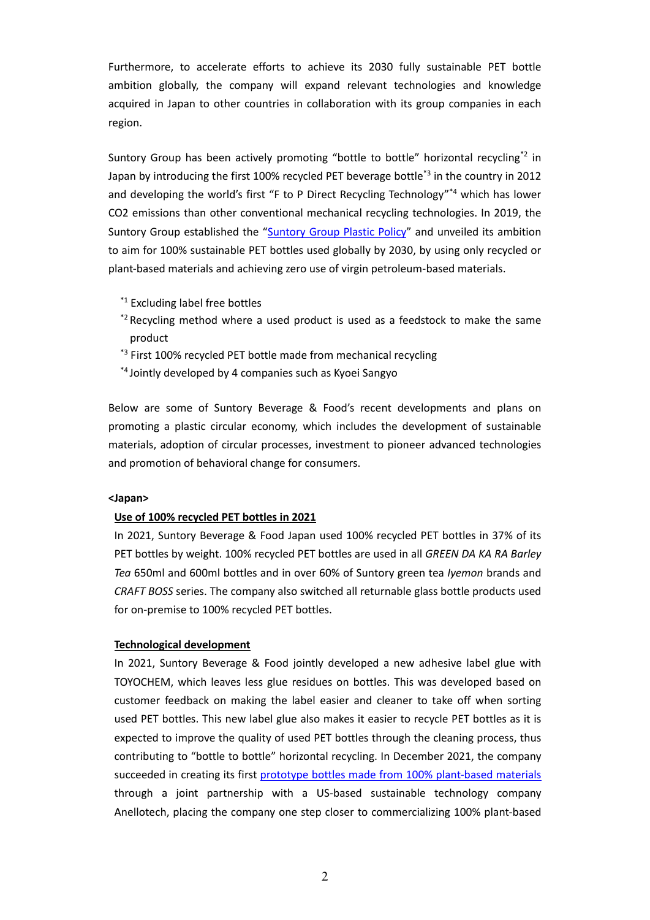Furthermore, to accelerate efforts to achieve its 2030 fully sustainable PET bottle ambition globally, the company will expand relevant technologies and knowledge acquired in Japan to other countries in collaboration with its group companies in each region.

Suntory Group has been actively promoting "bottle to bottle" horizontal recycling<sup>\*2</sup> in Japan by introducing the first 100% recycled PET beverage bottle<sup>\*3</sup> in the country in 2012 and developing the world's first "F to P Direct Recycling Technology"<sup>\*4</sup> which has lower CO2 emissions than other conventional mechanical recycling technologies. In 2019, the Suntory Group established the ["Suntory](https://www.suntory.com/news/article/13473E.html) Group Plastic Policy" and unveiled its ambition to aim for 100% sustainable PET bottles used globally by 2030, by using only recycled or plant‐based materials and achieving zero use of virgin petroleum‐based materials.

- \*<sup>1</sup> Excluding label free bottles
- $*$ <sup>2</sup> Recycling method where a used product is used as a feedstock to make the same product
- \*<sup>3</sup> First 100% recycled PET bottle made from mechanical recycling
- \*4 Jointly developed by 4 companies such as Kyoei Sangyo

Below are some of Suntory Beverage & Food's recent developments and plans on promoting a plastic circular economy, which includes the development of sustainable materials, adoption of circular processes, investment to pioneer advanced technologies and promotion of behavioral change for consumers.

#### **<Japan>**

# **Use of 100% recycled PET bottles in 2021**

In 2021, Suntory Beverage & Food Japan used 100% recycled PET bottles in 37% of its PET bottles by weight. 100% recycled PET bottles are used in all *GREEN DA KA RA Barley Tea* 650ml and 600ml bottles and in over 60% of Suntory green tea *Iyemon* brands and *CRAFT BOSS* series. The company also switched all returnable glass bottle products used for on‐premise to 100% recycled PET bottles.

# **Technological development**

In 2021, Suntory Beverage & Food jointly developed a new adhesive label glue with TOYOCHEM, which leaves less glue residues on bottles. This was developed based on customer feedback on making the label easier and cleaner to take off when sorting used PET bottles. This new label glue also makes it easier to recycle PET bottles as it is expected to improve the quality of used PET bottles through the cleaning process, thus contributing to "bottle to bottle" horizontal recycling. In December 2021, the company succeeded in creating its first [prototype](https://www.suntory.com/news/article/14037E.html) bottles made from 100% plant-based materials through a joint partnership with a US‐based sustainable technology company Anellotech, placing the company one step closer to commercializing 100% plant‐based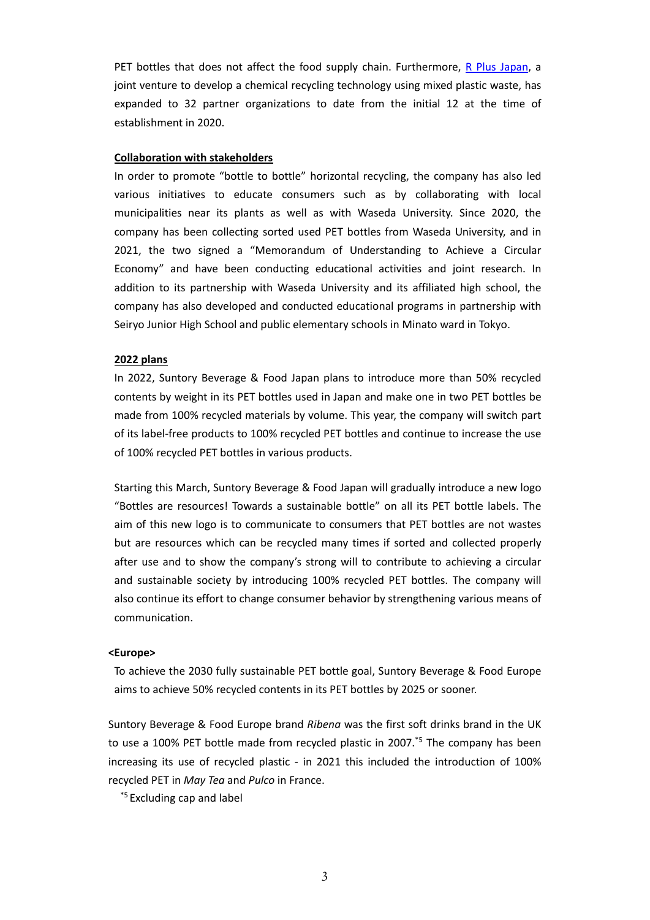PET bottles that does not affect the food supply chain. Furthermore, R Plus [Japan](https://www.suntory.com/news/article/13722E.html), a joint venture to develop a chemical recycling technology using mixed plastic waste, has expanded to 32 partner organizations to date from the initial 12 at the time of establishment in 2020.

## **Collaboration with stakeholders**

In order to promote "bottle to bottle" horizontal recycling, the company has also led various initiatives to educate consumers such as by collaborating with local municipalities near its plants as well as with Waseda University. Since 2020, the company has been collecting sorted used PET bottles from Waseda University, and in 2021, the two signed a "Memorandum of Understanding to Achieve a Circular Economy" and have been conducting educational activities and joint research. In addition to its partnership with Waseda University and its affiliated high school, the company has also developed and conducted educational programs in partnership with Seiryo Junior High School and public elementary schools in Minato ward in Tokyo.

#### **2022 plans**

In 2022, Suntory Beverage & Food Japan plans to introduce more than 50% recycled contents by weight in its PET bottles used in Japan and make one in two PET bottles be made from 100% recycled materials by volume. This year, the company will switch part of its label‐free products to 100% recycled PET bottles and continue to increase the use of 100% recycled PET bottles in various products.

Starting this March, Suntory Beverage & Food Japan will gradually introduce a new logo "Bottles are resources! Towards a sustainable bottle" on all its PET bottle labels. The aim of this new logo is to communicate to consumers that PET bottles are not wastes but are resources which can be recycled many times if sorted and collected properly after use and to show the company's strong will to contribute to achieving a circular and sustainable society by introducing 100% recycled PET bottles. The company will also continue its effort to change consumer behavior by strengthening various means of communication.

## **<Europe>**

To achieve the 2030 fully sustainable PET bottle goal, Suntory Beverage & Food Europe aims to achieve 50% recycled contents in its PET bottles by 2025 or sooner.

Suntory Beverage & Food Europe brand *Ribena* was the first soft drinks brand in the UK to use a 100% PET bottle made from recycled plastic in 2007.<sup>\*5</sup> The company has been increasing its use of recycled plastic - in 2021 this included the introduction of 100% recycled PET in *May Tea* and *Pulco* in France.

\*5 Excluding cap and label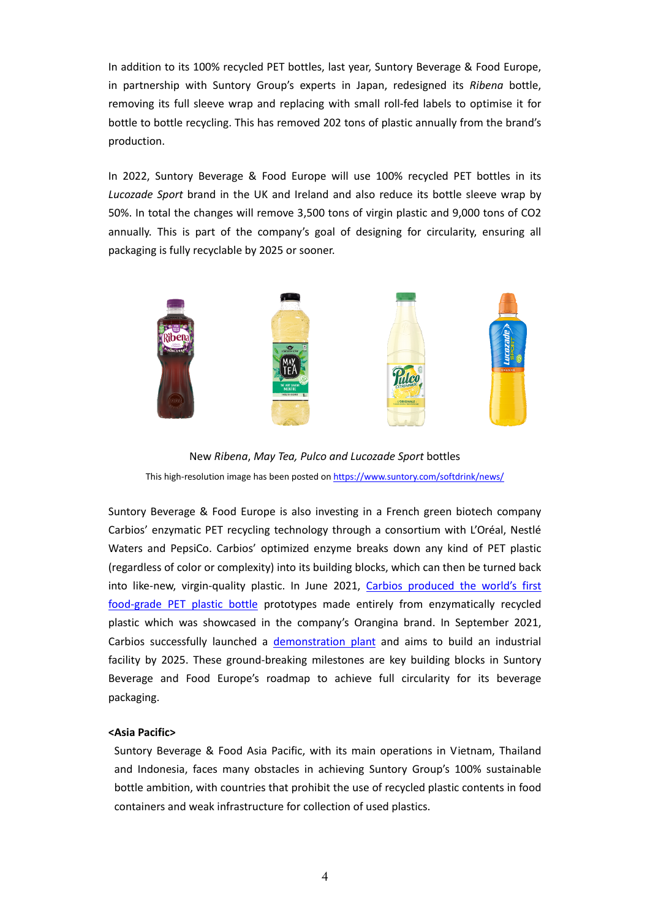In addition to its 100% recycled PET bottles, last year, Suntory Beverage & Food Europe, in partnership with Suntory Group's experts in Japan, redesigned its *Ribena* bottle, removing its full sleeve wrap and replacing with small roll‐fed labels to optimise it for bottle to bottle recycling. This has removed 202 tons of plastic annually from the brand's production.

In 2022, Suntory Beverage & Food Europe will use 100% recycled PET bottles in its *Lucozade Sport* brand in the UK and Ireland and also reduce its bottle sleeve wrap by 50%. In total the changes will remove 3,500 tons of virgin plastic and 9,000 tons of CO2 annually. This is part of the company's goal of designing for circularity, ensuring all packaging is fully recyclable by 2025 or sooner.



New *Ribena*, *May Tea, Pulco and Lucozade Sport* bottles This high-resolution image has been posted on <https://www.suntory.com/softdrink/news/>

Suntory Beverage & Food Europe is also investing in a French green biotech company Carbios' enzymatic PET recycling technology through a consortium with L'Oréal, Nestlé Waters and PepsiCo. Carbios' optimized enzyme breaks down any kind of PET plastic (regardless of color or complexity) into its building blocks, which can then be turned back into like-new, virgin-quality plastic. In June 2021, Carbios [produced](https://www.suntorybeverageandfood-europe.com/dyn/_assets/_pdfs/en-GB/sbfe/sbfe_carbios_press_release_letterhead_with_image_final.pdf) the world's first food‐grade PET [plastic](https://www.suntorybeverageandfood-europe.com/dyn/_assets/_pdfs/en-GB/sbfe/sbfe_carbios_press_release_letterhead_with_image_final.pdf) bottle prototypes made entirely from enzymatically recycled plastic which was showcased in the company's Orangina brand. In September 2021, Carbios successfully launched a [demonstration](https://www.suntorybeverageandfood-europe.com/dyn/_assets/_pdfs/en-GB/sbfe/2021_09_29_carbios_demo_plant_launch-1.pdf) plant and aims to build an industrial facility by 2025. These ground-breaking milestones are key building blocks in Suntory Beverage and Food Europe's roadmap to achieve full circularity for its beverage packaging.

# **<Asia Pacific>**

Suntory Beverage & Food Asia Pacific, with its main operations in Vietnam, Thailand and Indonesia, faces many obstacles in achieving Suntory Group's 100% sustainable bottle ambition, with countries that prohibit the use of recycled plastic contents in food containers and weak infrastructure for collection of used plastics.